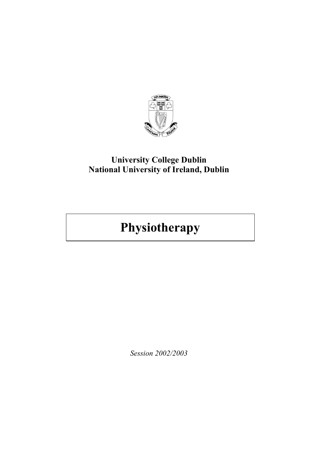

## **University College Dublin National University of Ireland, Dublin**

# **Physiotherapy**

*Session 2002/2003*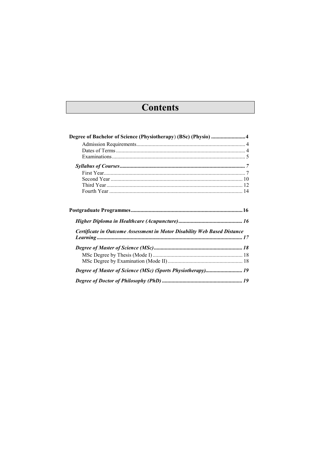# **Contents**

| Degree of Bachelor of Science (Physiotherapy) (BSc) (Physio) 4           |  |
|--------------------------------------------------------------------------|--|
|                                                                          |  |
|                                                                          |  |
|                                                                          |  |
|                                                                          |  |
|                                                                          |  |
|                                                                          |  |
|                                                                          |  |
|                                                                          |  |
|                                                                          |  |
|                                                                          |  |
| Certificate in Outcome Assessment in Motor Disability Web Based Distance |  |
|                                                                          |  |
|                                                                          |  |
|                                                                          |  |
|                                                                          |  |
|                                                                          |  |
|                                                                          |  |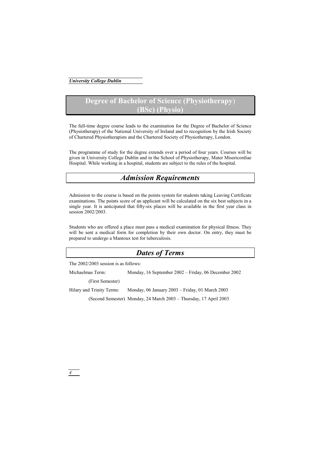### **Degree of Bachelor of Science (Physiotherapy**) **(BSc) (Physio)**

The full-time degree course leads to the examination for the Degree of Bachelor of Science (Physiotherapy) of the National University of Ireland and to recognition by the Irish Society of Chartered Physiotherapists and the Chartered Society of Physiotherapy, London.

The programme of study for the degree extends over a period of four years. Courses will be given in University College Dublin and in the School of Physiotherapy, Mater Misericordiae Hospital. While working in a hospital, students are subject to the rules of the hospital.

### *Admission Requirements*

Admission to the course is based on the points system for students taking Leaving Certificate examinations. The points score of an applicant will be calculated on the six best subjects in a single year. It is anticipated that fifty-six places will be available in the first year class in session 2002/2003

Students who are offered a place must pass a medical examination for physical fitness. They will be sent a medical form for completion by their own doctor. On entry, they must be prepared to undergo a Mantoux test for tuberculosis.

### *Dates of Terms*

The 2002/2003 session is as follows:

Michaelmas Term: Monday, 16 September 2002 – Friday, 06 December 2002

(First Semester)

Hilary and Trinity Terms: Monday, 06 January 2003 – Friday, 01 March 2003

(Second Semester) Monday, 24 March 2003 – Thursday, 17 April 2003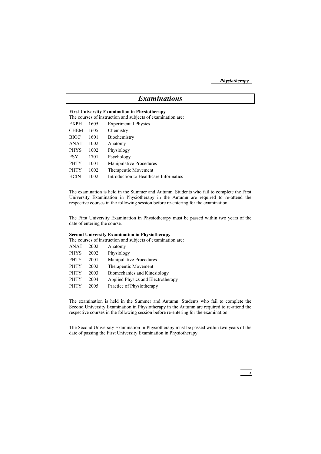### *Examinations*

#### **First University Examination in Physiotherapy**

The courses of instruction and subjects of examination are:

| <b>EXPH</b> | 1605 | <b>Experimental Physics</b>            |
|-------------|------|----------------------------------------|
| <b>CHEM</b> | 1605 | Chemistry                              |
| <b>BIOC</b> | 1601 | Biochemistry                           |
| <b>ANAT</b> | 1002 | Anatomy                                |
| <b>PHYS</b> | 1002 | Physiology                             |
| <b>PSY</b>  | 1701 | Psychology                             |
| <b>PHTY</b> | 1001 | Manipulative Procedures                |
| <b>PHTY</b> | 1002 | Therapeutic Movement                   |
| <b>HCIN</b> | 1002 | Introduction to Healthcare Informatics |
|             |      |                                        |

The examination is held in the Summer and Autumn. Students who fail to complete the First University Examination in Physiotherapy in the Autumn are required to re-attend the respective courses in the following session before re-entering for the examination.

The First University Examination in Physiotherapy must be passed within two years of the date of entering the course.

#### **Second University Examination in Physiotherapy**

The courses of instruction and subjects of examination are:

| <b>ANAT</b> | 2002 | Anatomy                            |
|-------------|------|------------------------------------|
| <b>PHYS</b> | 2002 | Physiology                         |
| <b>PHTY</b> | 2001 | Manipulative Procedures            |
| <b>PHTY</b> | 2002 | Therapeutic Movement               |
| <b>PHTY</b> | 2003 | Biomechanics and Kinesiology       |
| <b>PHTY</b> | 2004 | Applied Physics and Electrotherapy |
| <b>PHTY</b> | 2005 | Practice of Physiotherapy          |
|             |      |                                    |

The examination is held in the Summer and Autumn. Students who fail to complete the Second University Examination in Physiotherapy in the Autumn are required to re-attend the respective courses in the following session before re-entering for the examination.

The Second University Examination in Physiotherapy must be passed within two years of the date of passing the First University Examination in Physiotherapy.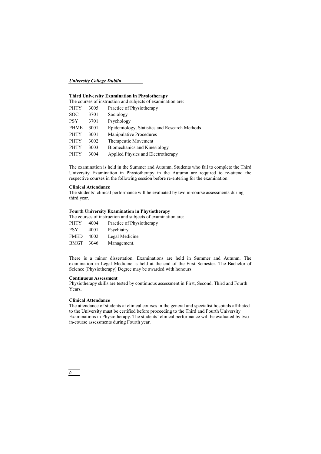#### *University College Dublin*

#### **Third University Examination in Physiotherapy**

The courses of instruction and subjects of examination are:

| 3005 | Practice of Physiotherapy                     |
|------|-----------------------------------------------|
| 3701 | Sociology                                     |
| 3701 | Psychology                                    |
| 3001 | Epidemiology, Statistics and Research Methods |
| 3001 | Manipulative Procedures                       |
| 3002 | Therapeutic Movement                          |
| 3003 | Biomechanics and Kinesiology                  |
| 3004 | Applied Physics and Electrotherapy            |
|      |                                               |

The examination is held in the Summer and Autumn. Students who fail to complete the Third University Examination in Physiotherapy in the Autumn are required to re-attend the respective courses in the following session before re-entering for the examination.

#### **Clinical Attendance**

The students' clinical performance will be evaluated by two in-course assessments during third year.

#### **Fourth University Examination in Physiotherapy**

The courses of instruction and subjects of examination are:

| <b>PHTY</b> | 4004 | Practice of Physiotherapy |
|-------------|------|---------------------------|
| <b>PSY</b>  | 4001 | Psychiatry                |
| <b>FMED</b> | 4002 | Legal Medicine            |
| <b>BMGT</b> | 3046 | Management.               |

There is a minor dissertation. Examinations are held in Summer and Autumn. The examination in Legal Medicine is held at the end of the First Semester. The Bachelor of Science (Physiotherapy) Degree may be awarded with honours.

#### **Continuous Assessment**

Physiotherapy skills are tested by continuous assessment in First, Second, Third and Fourth Years**.** 

#### **Clinical Attendance**

The attendance of students at clinical courses in the general and specialist hospitals affiliated to the University must be certified before proceeding to the Third and Fourth University Examinations in Physiotherapy. The students' clinical performance will be evaluated by two in-course assessments during Fourth year.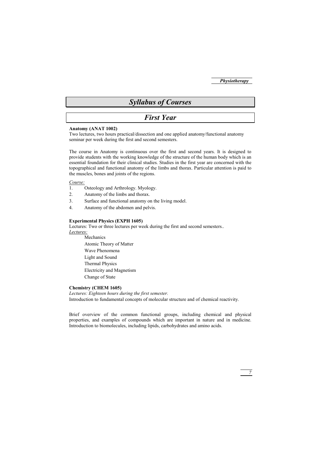### *Syllabus of Courses*

### *First Year*

#### **Anatomy (ANAT 1002)**

Two lectures, two hours practical/dissection and one applied anatomy/functional anatomy seminar per week during the first and second semesters.

The course in Anatomy is continuous over the first and second years. It is designed to provide students with the working knowledge of the structure of the human body which is an essential foundation for their clinical studies. Studies in the first year are concerned with the topographical and functional anatomy of the limbs and thorax. Particular attention is paid to the muscles, bones and joints of the regions.

#### *Course:*

- 1. Osteology and Arthrology. Myology.
- 2. Anatomy of the limbs and thorax.
- 3. Surface and functional anatomy on the living model.
- 4. Anatomy of the abdomen and pelvis.

#### **Experimental Physics (EXPH 1605)**

Lectures: Two or three lectures per week during the first and second semesters..

*Lectures:*

Mechanics Atomic Theory of Matter Wave Phenomena Light and Sound Thermal Physics Electricity and Magnetism Change of State

#### **Chemistry (CHEM 1605)**

*Lectures: Eighteen hours during the first semester.*  Introduction to fundamental concepts of molecular structure and of chemical reactivity.

Brief overview of the common functional groups, including chemical and physical properties, and examples of compounds which are important in nature and in medicine. Introduction to biomolecules, including lipids, carbohydrates and amino acids.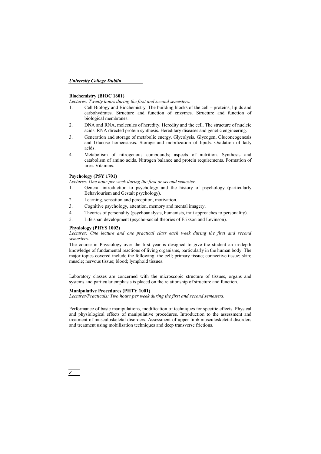#### *University College Dublin*

#### **Biochemistry (BIOC 1601)**

*Lectures: Twenty hours during the first and second semesters.* 

- 1. Cell Biology and Biochemistry. The building blocks of the cell proteins, lipids and carbohydrates. Structure and function of enzymes. Structure and function of biological membranes.
- 2. DNA and RNA, molecules of heredity. Heredity and the cell. The structure of nucleic acids. RNA directed protein synthesis. Hereditary diseases and genetic engineering.
- 3. Generation and storage of metabolic energy. Glycolysis. Glycogen, Gluconeogenesis and Glucose homeostasis. Storage and mobilization of lipids. Oxidation of fatty acids.
- 4. Metabolism of nitrogenous compounds; aspects of nutrition. Synthesis and catabolism of amino acids. Nitrogen balance and protein requirements. Formation of urea. Vitamins.

#### **Psychology (PSY 1701)**

*Lectures: One hour per week during the first or second semester.* 

- 1. General introduction to psychology and the history of psychology (particularly Behaviourism and Gestalt psychology).
- 2. Learning, sensation and perception, motivation.
- 3. Cognitive psychology, attention, memory and mental imagery.
- 4. Theories of personality (psychoanalysts, humanists, trait approaches to personality).
- 5. Life span development (psycho-social theories of Erikson and Levinson).

#### **Physiology (PHYS 1002)**

Lectures: One lecture and one practical class each week during the first and second *semesters.* 

The course in Physiology over the first year is designed to give the student an in-depth knowledge of fundamental reactions of living organisms, particularly in the human body. The major topics covered include the following: the cell; primary tissue; connective tissue; skin; muscle; nervous tissue; blood; lymphoid tissues.

Laboratory classes are concerned with the microscopic structure of tissues, organs and systems and particular emphasis is placed on the relationship of structure and function.

#### **Manipulative Procedures (PHTY 1001)**

*Lectures/Practicals: Two hours per week during the first and second semesters.* 

Performance of basic manipulations, modification of techniques for specific effects. Physical and physiological effects of manipulative procedures. Introduction to the assessment and treatment of musculoskeletal disorders. Assessment of upper limb musculoskeletal disorders and treatment using mobilisation techniques and deep transverse frictions.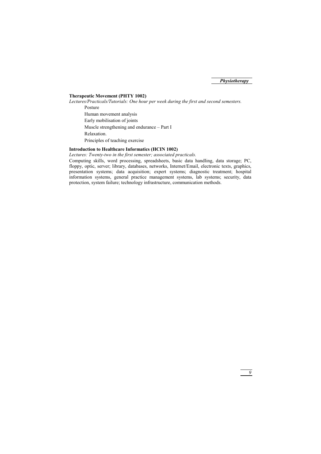#### **Therapeutic Movement (PHTY 1002)**

*Lectures/Practicals/Tutorials: One hour per week during the first and second semesters.* 

Posture Human movement analysis Early mobilisation of joints Muscle strengthening and endurance – Part I Relaxation. Principles of teaching exercise

#### **Introduction to Healthcare Informatics (HCIN 1002)**

*Lectures: Twenty-two in the first semester; associated practicals.* 

Computing skills, word processing, spreadsheets, basic data handling, data storage; PC, floppy, optic, server; library, databases, networks, Internet/Email, electronic texts, graphics, presentation systems; data acquisition; expert systems; diagnostic treatment; hospital information systems, general practice management systems, lab systems; security, data protection, system failure; technology infrastructure, communication methods.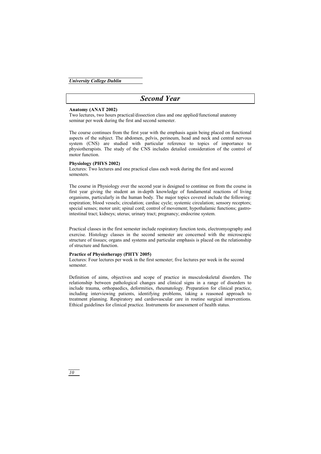### *Second Year*

#### **Anatomy (ANAT 2002)**

Two lectures, two hours practical/dissection class and one applied/functional anatomy seminar per week during the first and second semester.

The course continues from the first year with the emphasis again being placed on functional aspects of the subject. The abdomen, pelvis, perineum, head and neck and central nervous system (CNS) are studied with particular reference to topics of importance to physiotherapists. The study of the CNS includes detailed consideration of the control of motor function.

#### **Physiology (PHYS 2002)**

Lectures: Two lectures and one practical class each week during the first and second semesters.

The course in Physiology over the second year is designed to continue on from the course in first year giving the student an in-depth knowledge of fundamental reactions of living organisms, particularly in the human body. The major topics covered include the following: respiration; blood vessels; circulation; cardiac cycle; systemic circulation; sensory receptors; special senses; motor unit; spinal cord; control of movement; hypothalamic functions; gastrointestinal tract; kidneys; uterus; urinary tract; pregnancy; endocrine system.

Practical classes in the first semester include respiratory function tests, electromyography and exercise. Histology classes in the second semester are concerned with the microscopic structure of tissues; organs and systems and particular emphasis is placed on the relationship of structure and function.

#### **Practice of Physiotherapy (PHTY 2005)**

Lectures: Four lectures per week in the first semester; five lectures per week in the second semester.

Definition of aims, objectives and scope of practice in musculoskeletal disorders. The relationship between pathological changes and clinical signs in a range of disorders to include trauma, orthopaedics, deformities, rheumatology. Preparation for clinical practice, including interviewing patients, identifying problems, taking a reasoned approach to treatment planning. Respiratory and cardiovascular care in routine surgical interventions. Ethical guidelines for clinical practice. Instruments for assessment of health status.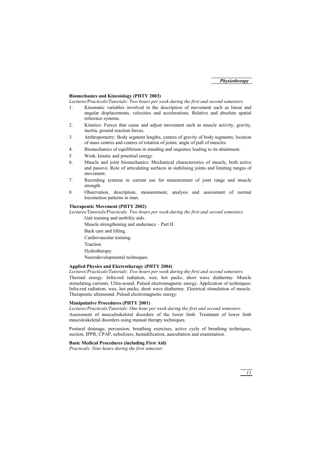#### **Biomechanics and Kinesiology (PHTY 2003)**

*Lectures/Practicals/Tutorials: Two hours per week during the first and second semesters.* 

- 1. Kinematic variables involved in the description of movement such as linear and angular displacements, velocities and accelerations. Relative and absolute spatial reference systems.
- 2. Kinetics: Forces that cause and adjust movement such as muscle activity, gravity, inertia, ground reaction forces.
- 3. Anthropometry: Body segment lengths, centres of gravity of body segments; location of mass centres and centres of rotation of joints; angle of pull of muscles.
- 4. Biomechanics of equilibrium in standing and sequence leading to its attainment.
- 5. Work, kinetic and potential energy.
- 6. Muscle and joint biomechanics: Mechanical characteristics of muscle, both active and passive. Role of articulating surfaces in stabilising joints and limiting ranges of movement.
- 7. Recording systems in current use for measurement of joint range and muscle strength.
- 8. Observation, description, measurement, analysis and assessment of normal locomotion patterns in man.

#### **Therapeutic Movement (PHTY 2002)**

*Lectures/Tutorials/Practicals: Two hours per week during the first and second semesters.* 

Gait training and mobility aids.

Muscle strengthening and endurance – Part II.

Back care and lifting.

Cardiovascular training.

Traction.

Hydrotherapy.

Neurodevelopmental techniques.

#### **Applied Physics and Electrotherapy (PHTY 2004)**

*Lectures/Practicals/Tutorials: Two hours per week during the first and second semesters.* 

Thermal energy. Infra-red radiation, wax, hot packs, short wave diathermy. Muscle stimulating currents. Ultra-sound. Pulsed electromagnetic energy. Application of techniques: Infra-red radiation, wax, hot packs, short wave diathermy. Electrical stimulation of muscle. Therapeutic ultrasound. Pulsed electromagnetic energy.

#### **Manipulative Procedures (PHTY 2001)**

*Lectures/Practicals/Tutorials: One hour per week during the first and second semesters.* 

Assessment of musculoskeletal disorders of the lower limb. Treatment of lower limb musculoskeletal disorders using manual therapy techniques.

Postural drainage, percussion, breathing exercises, active cycle of breathing techniques, suction, IPPR, CPAP, nebulizers, humidification, auscultation and examination.

#### **Basic Medical Procedures (including First Aid)**

*Practicals: Nine hours during the first semester.*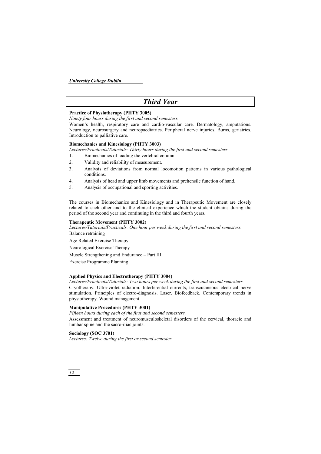### *Third Year*

#### **Practice of Physiotherapy (PHTY 3005)**

*Ninety four hours during the first and second semesters.* 

Women's health, respiratory care and cardio-vascular care. Dermatology, amputations. Neurology, neurosurgery and neuropaediatrics. Peripheral nerve injuries. Burns, geriatrics. Introduction to palliative care.

#### **Biomechanics and Kinesiology (PHTY 3003)**

*Lectures/Practicals/Tutorials: Thirty hours during the first and second semesters.* 

- 1. Biomechanics of loading the vertebral column.
- 2. Validity and reliability of measurement.
- 3. Analysis of deviations from normal locomotion patterns in various pathological conditions.
- 4. Analysis of head and upper limb movements and prehensile function of hand.
- 5. Analysis of occupational and sporting activities.

The courses in Biomechanics and Kinesiology and in Therapeutic Movement are closely related to each other and to the clinical experience which the student obtains during the period of the second year and continuing in the third and fourth years.

#### **Therapeutic Movement (PHTY 3002)**

*Lectures/Tutorials/Practicals: One hour per week during the first and second semesters.*  Balance retraining

Age Related Exercise Therapy

Neurological Exercise Therapy

Muscle Strengthening and Endurance – Part III

Exercise Programme Planning

#### **Applied Physics and Electrotherapy (PHTY 3004)**

*Lectures/Practicals/Tutorials: Two hours per week during the first and second semesters.* 

Cryotherapy. Ultra-violet radiation. Interferential currents, transcutaneous electrical nerve stimulation. Principles of electro-diagnosis. Laser. Biofeedback. Contemporary trends in physiotherapy. Wound management.

#### **Manipulative Procedures (PHTY 3001)**

*Fifteen hours during each of the first and second semesters.* 

Assessment and treatment of neuromusculoskeletal disorders of the cervical, thoracic and lumbar spine and the sacro-iliac joints.

#### **Sociology (SOC 3701)**

*Lectures: Twelve during the first or second semester.*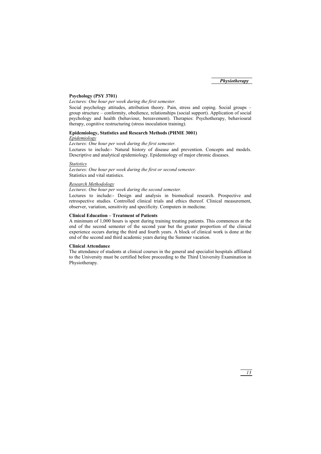#### **Psychology (PSY 3701)**

*Lectures: One hour per week during the first semester.* 

Social psychology attitudes, attribution theory. Pain, stress and coping. Social groups – group structure – conformity, obedience, relationships (social support). Application of social psychology and health (behaviour, bereavement). Therapies: Psychotherapy, behavioural therapy, cognitive restructuring (stress inoculation training).

#### **Epidemiology, Statistics and Research Methods (PHME 3001)**

#### *Epidemiology*

*Lectures: One hour per week during the first semester.* 

Lectures to include:- Natural history of disease and prevention. Concepts and models. Descriptive and analytical epidemiology. Epidemiology of major chronic diseases.

#### *Statistics*

*Lectures: One hour per week during the first or second semester.*  Statistics and vital statistics.

#### *Research Methodology*

#### *Lectures: One hour per week during the second semester.*

Lectures to include:- Design and analysis in biomedical research. Prospective and retrospective studies. Controlled clinical trials and ethics thereof. Clinical measurement, observer, variation, sensitivity and specificity. Computers in medicine.

#### **Clinical Education – Treatment of Patients**

A minimum of 1,000 hours is spent during training treating patients. This commences at the end of the second semester of the second year but the greater proportion of the clinical experience occurs during the third and fourth years. A block of clinical work is done at the end of the second and third academic years during the Summer vacation.

#### **Clinical Attendance**

The attendance of students at clinical courses in the general and specialist hospitals affiliated to the University must be certified before proceeding to the Third University Examination in Physiotherapy.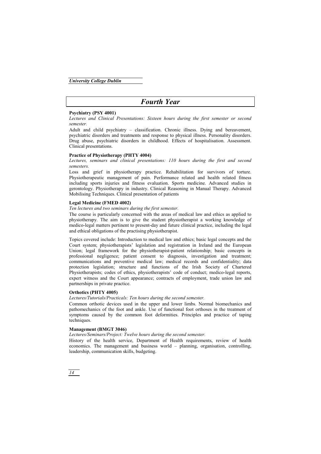### *Fourth Year*

#### **Psychiatry (PSY 4001)**

*Lectures and Clinical Presentations: Sixteen hours during the first semester or second semester.* 

Adult and child psychiatry – classification. Chronic illness. Dying and bereavement, psychiatric disorders and treatments and response to physical illness. Personality disorders. Drug abuse, psychiatric disorders in childhood. Effects of hospitalisation. Assessment. Clinical presentations.

#### **Practice of Physiotherapy (PHTY 4004)**

*Lectures, seminars and clinical presentations: 110 hours during the first and second semesters.* 

Loss and grief in physiotherapy practice. Rehabilitation for survivors of torture. Physiotherapeutic management of pain. Performance related and health related fitness including sports injuries and fitness evaluation. Sports medicine. Advanced studies in gerontology. Physiotherapy in industry. Clinical Reasoning in Manual Therapy. Advanced Mobilising Techniques. Clinical presentation of patients

#### **Legal Medicine (FMED 4002)**

#### *Ten lectures and two seminars during the first semester.*

The course is particularly concerned with the areas of medical law and ethics as applied to physiotherapy. The aim is to give the student physiotherapist a working knowledge of medico-legal matters pertinent to present-day and future clinical practice, including the legal and ethical obligations of the practising physiotherapist.

Topics covered include: Introduction to medical law and ethics; basic legal concepts and the Court system; physiotherapists' legislation and registration in Ireland and the European Union; legal framework for the physiotherapist-patient relationship; basic concepts in professional negligence; patient consent to diagnosis, investigation and treatment; communications and preventive medical law; medical records and confidentiality; data protection legislation; structure and functions of the Irish Society of Chartered Physiotherapists; codes of ethics, physiotherapists' code of conduct; medico-legal reports, expert witness and the Court appearance; contracts of employment, trade union law and partnerships in private practice.

#### **Orthotics (PHTY 4005)**

*Lectures/Tutorials/Practicals: Ten hours during the second semester.* 

Common orthotic devices used in the upper and lower limbs. Normal biomechanics and pathomechanics of the foot and ankle. Use of functional foot orthoses in the treatment of symptoms caused by the common foot deformities. Principles and practice of taping techniques.

#### **Management (BMGT 3046)**

*Lectures/Seminars/Project: Twelve hours during the second semester.* 

History of the health service, Department of Health requirements, review of health economics. The management and business world – planning, organisation, controlling, leadership, communication skills, budgeting.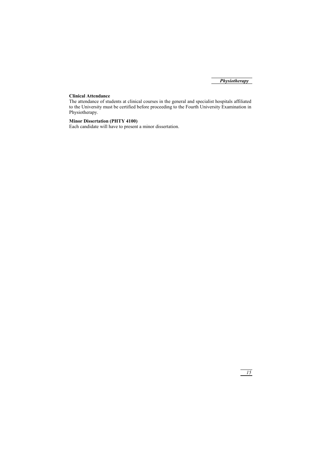#### **Clinical Attendance**

The attendance of students at clinical courses in the general and specialist hospitals affiliated to the University must be certified before proceeding to the Fourth University Examination in Physiotherapy.

#### **Minor Dissertation (PHTY 4100)**

Each candidate will have to present a minor dissertation.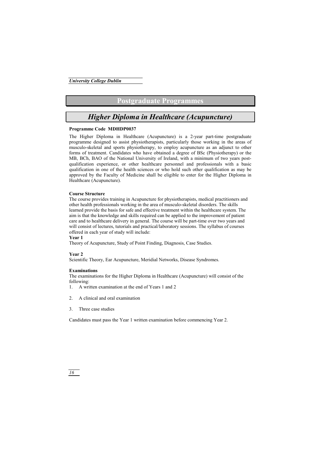### **Postgraduate Programmes**

### *Higher Diploma in Healthcare (Acupuncture)*

#### **Programme Code MDHDP0037**

The Higher Diploma in Healthcare (Acupuncture) is a 2-year part-time postgraduate programme designed to assist physiotherapists, particularly those working in the areas of musculo-skeletal and sports physiotherapy, to employ acupuncture as an adjunct to other forms of treatment. Candidates who have obtained a degree of BSc (Physiotherapy) or the MB, BCh, BAO of the National University of Ireland, with a minimum of two years postqualification experience, or other healthcare personnel and professionals with a basic qualification in one of the health sciences or who hold such other qualification as may be approved by the Faculty of Medicine shall be eligible to enter for the Higher Diploma in Healthcare (Acupuncture).

#### **Course Structure**

The course provides training in Acupuncture for physiotherapists, medical practitioners and other health professionals working in the area of musculo-skeletal disorders. The skills learned provide the basis for safe and effective treatment within the healthcare system. The aim is that the knowledge and skills required can be applied to the improvement of patient care and to healthcare delivery in general. The course will be part-time over two years and will consist of lectures, tutorials and practical/laboratory sessions. The syllabus of courses offered in each year of study will include:

#### **Year 1**

Theory of Acupuncture, Study of Point Finding, Diagnosis, Case Studies.

#### **Year 2**

Scientific Theory, Ear Acupuncture, Meridial Networks, Disease Syndromes.

#### **Examinations**

The examinations for the Higher Diploma in Healthcare (Acupuncture) will consist of the following:

- 1. A written examination at the end of Years 1 and 2
- 2. A clinical and oral examination
- 3. Three case studies

Candidates must pass the Year 1 written examination before commencing Year 2.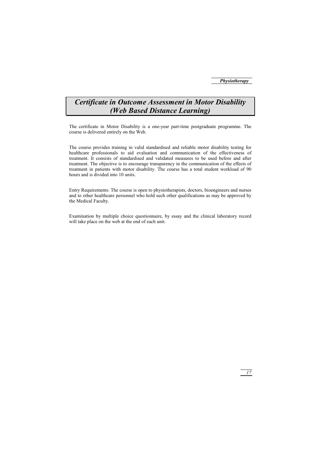### *Certificate in Outcome Assessment in Motor Disability (Web Based Distance Learning)*

The certificate in Motor Disability is a one-year part-time postgraduate programme. The course is delivered entirely on the Web.

The course provides training in valid standardised and reliable motor disability testing for healthcare professionals to aid evaluation and communication of the effectiveness of treatment. It consists of standardised and validated measures to be used before and after treatment. The objective is to encourage transparency in the communication of the effects of treatment in patients with motor disability. The course has a total student workload of 90 hours and is divided into 10 units.

Entry Requirements: The course is open to physiotherapists, doctors, bioengineers and nurses and to other healthcare personnel who hold such other qualifications as may be approved by the Medical Faculty.

Examination by multiple choice questionnaire, by essay and the clinical laboratory record will take place on the web at the end of each unit.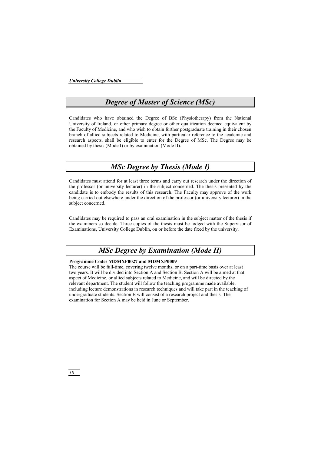### *Degree of Master of Science (MSc)*

Candidates who have obtained the Degree of BSc (Physiotherapy) from the National University of Ireland, or other primary degree or other qualification deemed equivalent by the Faculty of Medicine, and who wish to obtain further postgraduate training in their chosen branch of allied subjects related to Medicine, with particular reference to the academic and research aspects, shall be eligible to enter for the Degree of MSc. The Degree may be obtained by thesis (Mode I) or by examination (Mode II).

### *MSc Degree by Thesis (Mode I)*

Candidates must attend for at least three terms and carry out research under the direction of the professor (or university lecturer) in the subject concerned. The thesis presented by the candidate is to embody the results of this research. The Faculty may approve of the work being carried out elsewhere under the direction of the professor (or university lecturer) in the subject concerned.

Candidates may be required to pass an oral examination in the subject matter of the thesis if the examiners so decide. Three copies of the thesis must be lodged with the Supervisor of Examinations, University College Dublin, on or before the date fixed by the university.

### *MSc Degree by Examination (Mode II)*

#### **Programme Codes MDMXF0027 and MDMXP0009**

The course will be full-time, covering twelve months, or on a part-time basis over at least two years. It will be divided into Section A and Section B. Section A will be aimed at that aspect of Medicine, or allied subjects related to Medicine, and will be directed by the relevant department. The student will follow the teaching programme made available, including lecture demonstrations in research techniques and will take part in the teaching of undergraduate students. Section B will consist of a research project and thesis. The examination for Section A may be held in June or September.